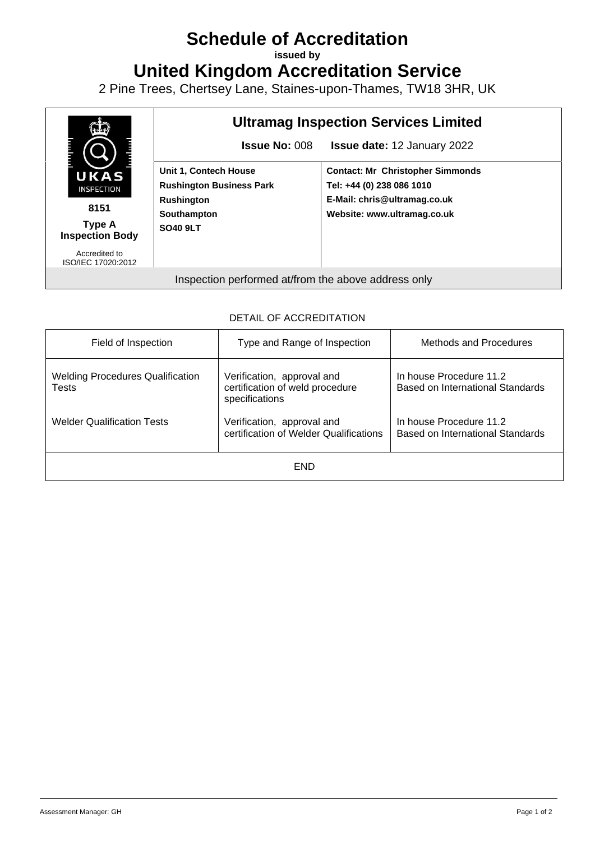## **Schedule of Accreditation**

**issued by**

**United Kingdom Accreditation Service**

2 Pine Trees, Chertsey Lane, Staines-upon-Thames, TW18 3HR, UK



## DETAIL OF ACCREDITATION

| Field of Inspection                              | Type and Range of Inspection                                                    | Methods and Procedures                                      |  |  |  |
|--------------------------------------------------|---------------------------------------------------------------------------------|-------------------------------------------------------------|--|--|--|
| <b>Welding Procedures Qualification</b><br>Tests | Verification, approval and<br>certification of weld procedure<br>specifications | In house Procedure 11.2<br>Based on International Standards |  |  |  |
| <b>Welder Qualification Tests</b>                | Verification, approval and<br>certification of Welder Qualifications            | In house Procedure 11.2<br>Based on International Standards |  |  |  |
| <b>END</b>                                       |                                                                                 |                                                             |  |  |  |